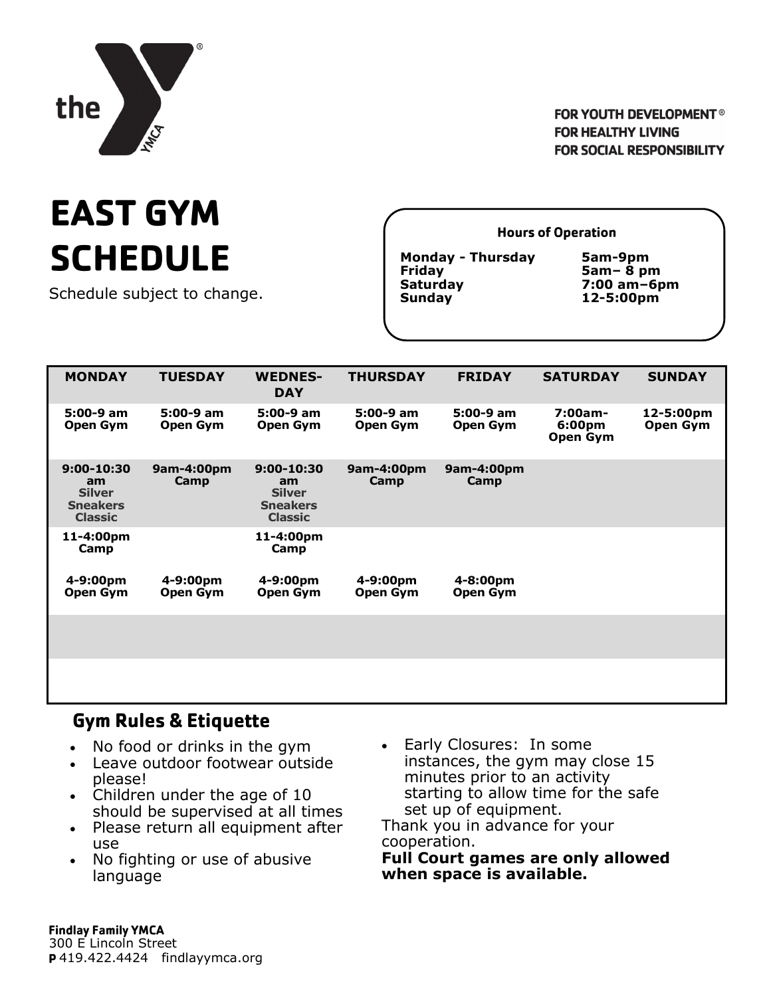

### **FOR YOUTH DEVELOPMENT<sup>®</sup> FOR HEALTHY LIVING FOR SOCIAL RESPONSIBILITY**

# **EAST GYM SCHEDULE**

Schedule subject to change.

**Hours of Operation** 

**Monday - Thursday 5am-9pm Friday 5am– 8 pm Sunday 12-5:00pm** 

**Saturday 7:00 am–6pm** 

| <b>MONDAY</b>                                                              | <b>TUESDAY</b>        | <b>WEDNES-</b><br><b>DAY</b>                                               | <b>THURSDAY</b>              | <b>FRIDAY</b>         | <b>SATURDAY</b>               | <b>SUNDAY</b>         |
|----------------------------------------------------------------------------|-----------------------|----------------------------------------------------------------------------|------------------------------|-----------------------|-------------------------------|-----------------------|
| 5:00-9 am<br><b>Open Gym</b>                                               | 5:00-9 am<br>Open Gym | 5:00-9 am<br>Open Gym                                                      | 5:00-9 am<br><b>Open Gym</b> | 5:00-9 am<br>Open Gym | 7:00am-<br>6:00pm<br>Open Gym | 12-5:00pm<br>Open Gym |
| $9:00 - 10:30$<br>am<br><b>Silver</b><br><b>Sneakers</b><br><b>Classic</b> | 9am-4:00pm<br>Camp    | $9:00 - 10:30$<br>am<br><b>Silver</b><br><b>Sneakers</b><br><b>Classic</b> | 9am-4:00pm<br>Camp           | 9am-4:00pm<br>Camp    |                               |                       |
| 11-4:00pm<br>Camp                                                          |                       | 11-4:00pm<br>Camp                                                          |                              |                       |                               |                       |
| 4-9:00pm<br><b>Open Gym</b>                                                | 4-9:00pm<br>Open Gym  | 4-9:00pm<br>Open Gym                                                       | 4-9:00pm<br>Open Gym         | 4-8:00pm<br>Open Gym  |                               |                       |
|                                                                            |                       |                                                                            |                              |                       |                               |                       |
|                                                                            |                       |                                                                            |                              |                       |                               |                       |

## **Gym Rules & Etiquette**

- No food or drinks in the gym
- Leave outdoor footwear outside please!
- Children under the age of 10 should be supervised at all times
- Please return all equipment after use
- No fighting or use of abusive language
- Early Closures: In some instances, the gym may close 15 minutes prior to an activity starting to allow time for the safe set up of equipment.

Thank you in advance for your cooperation.

**Full Court games are only allowed when space is available.**